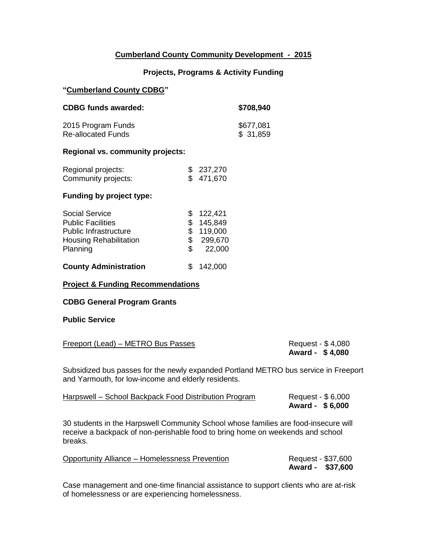## **Cumberland County Community Development - 2015**

## **Projects, Programs & Activity Funding**

### **"Cumberland County CDBG"**

| <b>CDBG funds awarded:</b> | \$708,940 |
|----------------------------|-----------|
| 2015 Program Funds         | \$677,081 |
| <b>Re-allocated Funds</b>  | \$31,859  |

### **Regional vs. community projects:**

| Regional projects:  | \$237,270 |
|---------------------|-----------|
| Community projects: | \$471,670 |

#### **Funding by project type:**

| <b>Social Service</b>         |     | \$122,421 |
|-------------------------------|-----|-----------|
| <b>Public Facilities</b>      |     | \$145,849 |
| <b>Public Infrastructure</b>  |     | \$119,000 |
| <b>Housing Rehabilitation</b> | \$. | 299,670   |
| Planning                      | SS. | 22,000    |
|                               |     |           |

# **County Administration** \$ 142,000

### **Project & Funding Recommendations**

#### **CDBG General Program Grants**

#### **Public Service**

| Freeport (Lead) – METRO Bus Passes | Request - \$4,080 |
|------------------------------------|-------------------|
|                                    | Award - \$4,080   |

Subsidized bus passes for the newly expanded Portland METRO bus service in Freeport and Yarmouth, for low-income and elderly residents.

| Harpswell – School Backpack Food Distribution Program | Request - \$6,000 |
|-------------------------------------------------------|-------------------|
|                                                       | Award - \$6,000   |

30 students in the Harpswell Community School whose families are food-insecure will receive a backpack of non-perishable food to bring home on weekends and school breaks.

| <b>Opportunity Alliance – Homelessness Prevention</b> | Request - \$37,600 |
|-------------------------------------------------------|--------------------|
|                                                       | Award - \$37,600   |

Case management and one-time financial assistance to support clients who are at-risk of homelessness or are experiencing homelessness.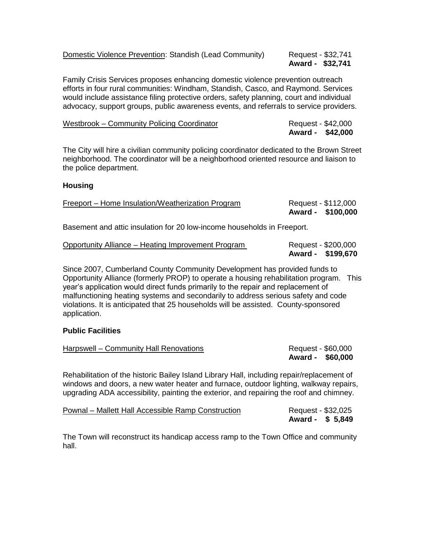| <b>Domestic Violence Prevention: Standish (Lead Community)</b> | Req |
|----------------------------------------------------------------|-----|
|----------------------------------------------------------------|-----|

#### uest - \$32,741 **Award - \$32,741**

Family Crisis Services proposes enhancing domestic violence prevention outreach efforts in four rural communities: Windham, Standish, Casco, and Raymond. Services would include assistance filing protective orders, safety planning, court and individual advocacy, support groups, public awareness events, and referrals to service providers.

| Westbrook – Community Policing Coordinator | Request - \$42,000 |
|--------------------------------------------|--------------------|
|                                            | Award - \$42,000   |

The City will hire a civilian community policing coordinator dedicated to the Brown Street neighborhood. The coordinator will be a neighborhood oriented resource and liaison to the police department.

## **Housing**

| Freeport – Home Insulation/Weatherization Program | Request - \$112,000 |
|---------------------------------------------------|---------------------|
|                                                   | Award - \$100,000   |
|                                                   |                     |

Basement and attic insulation for 20 low-income households in Freeport.

| Opportunity Alliance – Heating Improvement Program | Request - \$200,000 |
|----------------------------------------------------|---------------------|
|                                                    | Award - \$199,670   |

Since 2007, Cumberland County Community Development has provided funds to Opportunity Alliance (formerly PROP) to operate a housing rehabilitation program. This year's application would direct funds primarily to the repair and replacement of malfunctioning heating systems and secondarily to address serious safety and code violations. It is anticipated that 25 households will be assisted. County-sponsored application.

## **Public Facilities**

| Harpswell – Community Hall Renovations                                                     | Request - \$60,000<br>Award - \$60,000 |
|--------------------------------------------------------------------------------------------|----------------------------------------|
| Rehabilitation of the historic Bailey Island Library Hall, including repair/replacement of |                                        |

Rehabilitation of the historic Bailey Island Library Hall, including repair/replacement of windows and doors, a new water heater and furnace, outdoor lighting, walkway repairs, upgrading ADA accessibility, painting the exterior, and repairing the roof and chimney.

| Pownal – Mallett Hall Accessible Ramp Construction | Request - \$32,025 |
|----------------------------------------------------|--------------------|
|                                                    | Award - \$ 5,849   |

The Town will reconstruct its handicap access ramp to the Town Office and community hall.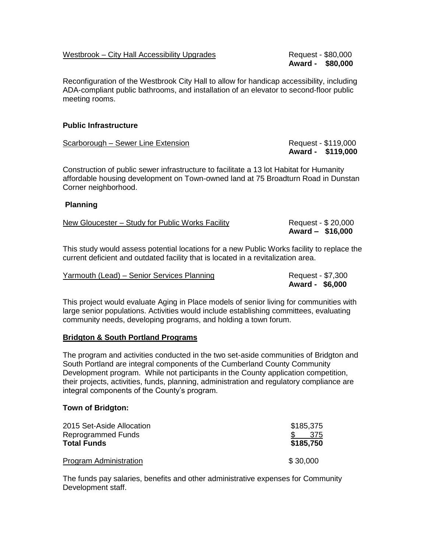## Westbrook – City Hall Accessibility Upgrades Request - \$80,000

**Award - \$80,000**

Reconfiguration of the Westbrook City Hall to allow for handicap accessibility, including ADA-compliant public bathrooms, and installation of an elevator to second-floor public meeting rooms.

## **Public Infrastructure**

| Scarborough - Sewer Line Extension | Request - \$119,000 |  |
|------------------------------------|---------------------|--|
|                                    | Award - \$119,000   |  |

Construction of public sewer infrastructure to facilitate a 13 lot Habitat for Humanity affordable housing development on Town-owned land at 75 Broadturn Road in Dunstan Corner neighborhood.

### **Planning**

| New Gloucester – Study for Public Works Facility | Request - \$ 20,000 |
|--------------------------------------------------|---------------------|
|                                                  | Award - \$16,000    |

This study would assess potential locations for a new Public Works facility to replace the current deficient and outdated facility that is located in a revitalization area.

| Yarmouth (Lead) – Senior Services Planning | Request - \$7,300 |
|--------------------------------------------|-------------------|
|                                            | Award - \$6,000   |

This project would evaluate Aging in Place models of senior living for communities with large senior populations. Activities would include establishing committees, evaluating community needs, developing programs, and holding a town forum.

### **Bridgton & South Portland Programs**

The program and activities conducted in the two set-aside communities of Bridgton and South Portland are integral components of the Cumberland County Community Development program. While not participants in the County application competition, their projects, activities, funds, planning, administration and regulatory compliance are integral components of the County's program.

### **Town of Bridgton:**

| 2015 Set-Aside Allocation<br>Reprogrammed Funds | \$185,375<br>-375 |
|-------------------------------------------------|-------------------|
| <b>Total Funds</b>                              | \$185,750         |
| Program Administration                          | \$30,000          |

The funds pay salaries, benefits and other administrative expenses for Community Development staff.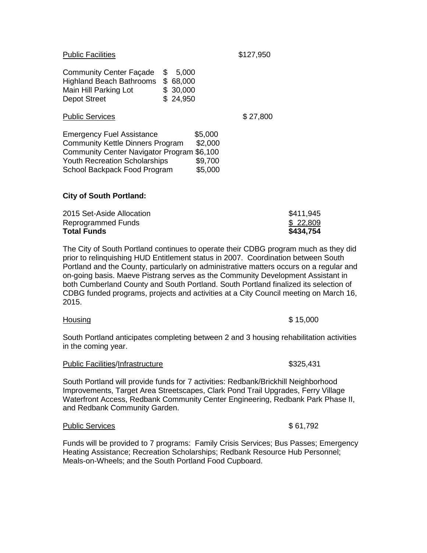| <b>Public Facilities</b>                                                                                                                                                                         |                                                         | \$127,950 |
|--------------------------------------------------------------------------------------------------------------------------------------------------------------------------------------------------|---------------------------------------------------------|-----------|
| <b>Community Center Façade</b><br><b>Highland Beach Bathrooms</b><br>Main Hill Parking Lot<br><b>Depot Street</b>                                                                                | \$<br>5,000<br>\$<br>68,000<br>30,000<br>\$<br>\$24,950 |           |
| <b>Public Services</b>                                                                                                                                                                           |                                                         | \$27,800  |
| <b>Emergency Fuel Assistance</b><br><b>Community Kettle Dinners Program</b><br><b>Community Center Navigator Program</b><br><b>Youth Recreation Scholarships</b><br>School Backpack Food Program | \$5,000<br>\$2,000<br>\$6,100<br>\$9,700<br>\$5,000     |           |

## **City of South Portland:**

| 2015 Set-Aside Allocation | \$411,945 |
|---------------------------|-----------|
| Reprogrammed Funds        | \$22,809  |
| <b>Total Funds</b>        | \$434,754 |

The City of South Portland continues to operate their CDBG program much as they did prior to relinquishing HUD Entitlement status in 2007. Coordination between South Portland and the County, particularly on administrative matters occurs on a regular and on-going basis. Maeve Pistrang serves as the Community Development Assistant in both Cumberland County and South Portland. South Portland finalized its selection of CDBG funded programs, projects and activities at a City Council meeting on March 16, 2015.

South Portland anticipates completing between 2 and 3 housing rehabilitation activities in the coming year.

#### Public Facilities/Infrastructure **\$325,431**

South Portland will provide funds for 7 activities: Redbank/Brickhill Neighborhood Improvements, Target Area Streetscapes, Clark Pond Trail Upgrades, Ferry Village Waterfront Access, Redbank Community Center Engineering, Redbank Park Phase II, and Redbank Community Garden.

#### Public Services  $$ 61,792$

Funds will be provided to 7 programs: Family Crisis Services; Bus Passes; Emergency Heating Assistance; Recreation Scholarships; Redbank Resource Hub Personnel; Meals-on-Wheels; and the South Portland Food Cupboard.

 $\text{Housing}$   $\text{\$ 15,000}$